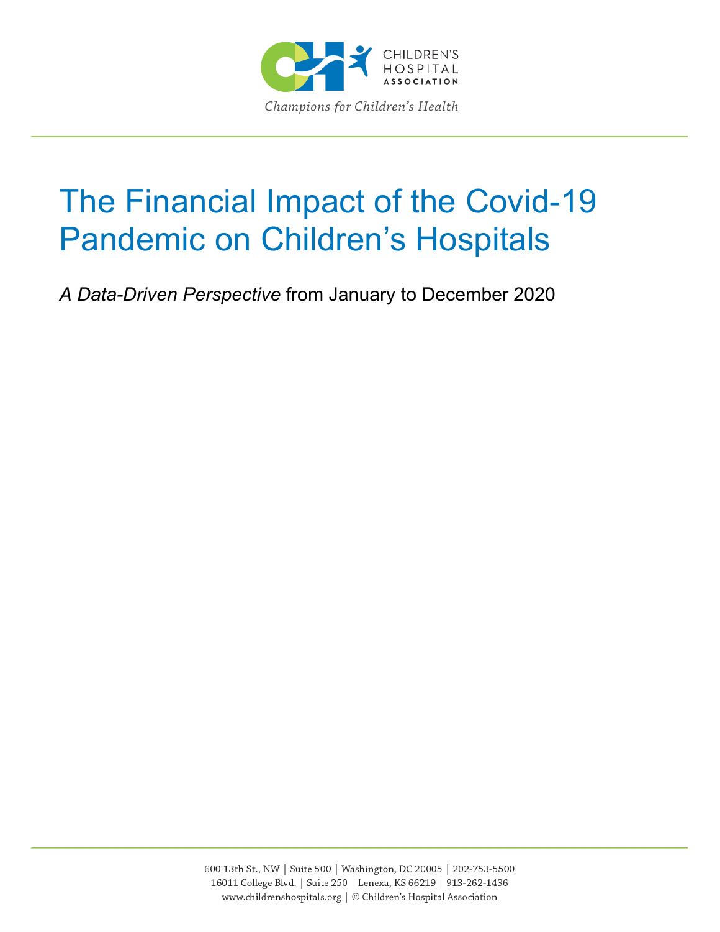

# The Financial Impact of the Covid-19 Pandemic on Children's Hospitals

*A Data-Driven Perspective* from January to December 2020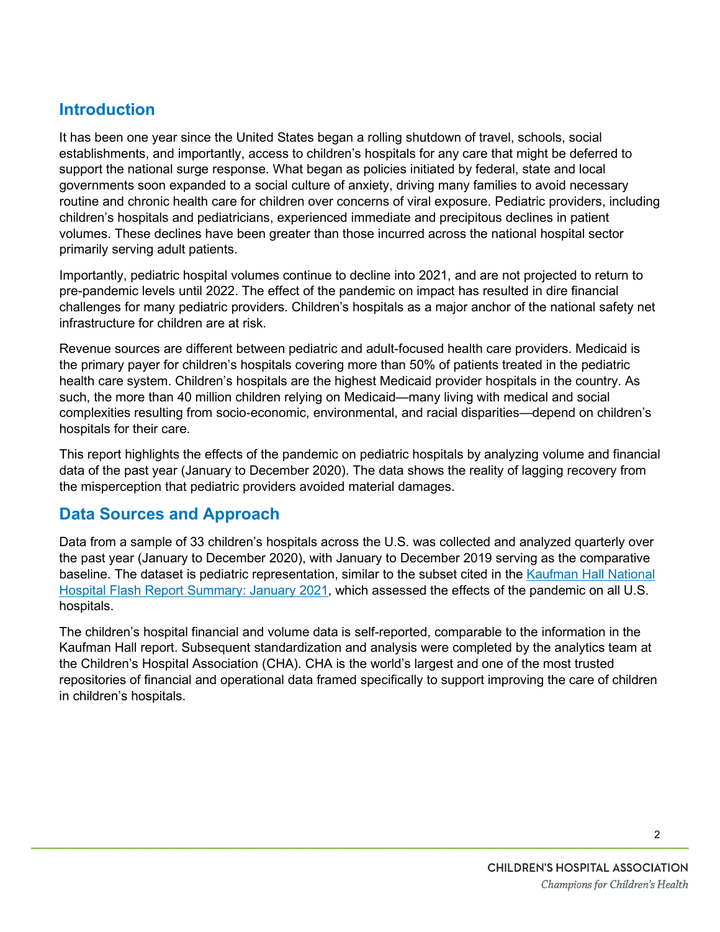## **Introduction**

It has been one year since the United States began a rolling shutdown of travel, schools, social establishments, and importantly, access to children's hospitals for any care that might be deferred to support the national surge response. What began as policies initiated by federal, state and local governments soon expanded to a social culture of anxiety, driving many families to avoid necessary routine and chronic health care for children over concerns of viral exposure. Pediatric providers, including children's hospitals and pediatricians, experienced immediate and precipitous declines in patient volumes. These declines have been greater than those incurred across the national hospital sector primarily serving adult patients.

Importantly, pediatric hospital volumes continue to decline into 2021, and are not projected to return to pre-pandemic levels until 2022. The effect of the pandemic on impact has resulted in dire financial challenges for many pediatric providers. Children's hospitals as a major anchor of the national safety net infrastructure for children are at risk.

Revenue sources are different between pediatric and adult-focused health care providers. Medicaid is the primary payer for children's hospitals covering more than 50% of patients treated in the pediatric health care system. Children's hospitals are the highest Medicaid provider hospitals in the country. As such, the more than 40 million children relying on Medicaid—many living with medical and social complexities resulting from socio-economic, environmental, and racial disparities—depend on children's hospitals for their care.

This report highlights the effects of the pandemic on pediatric hospitals by analyzing volume and financial data of the past year (January to December 2020). The data shows the reality of lagging recovery from the misperception that pediatric providers avoided material damages.

## **Data Sources and Approach**

Data from a sample of 33 children's hospitals across the U.S. was collected and analyzed quarterly over the past year (January to December 2020), with January to December 2019 serving as the comparative baseline. The dataset is pediatric representation, similar to the subset cited in the Kaufman [Hall National](https://www.kaufmanhall.com/ideas-resources/research-report/national-hospital-flash-report-january-2021)  [Hospital Flash Report Summary: January](https://www.kaufmanhall.com/ideas-resources/research-report/national-hospital-flash-report-january-2021) 2021, which assessed the effects of the pandemic on all U.S. hospitals.

The children's hospital financial and volume data is self-reported, comparable to the information in the Kaufman Hall report. Subsequent standardization and analysis were completed by the analytics team at the Children's Hospital Association (CHA). CHA is the world's largest and one of the most trusted repositories of financial and operational data framed specifically to support improving the care of children in children's hospitals.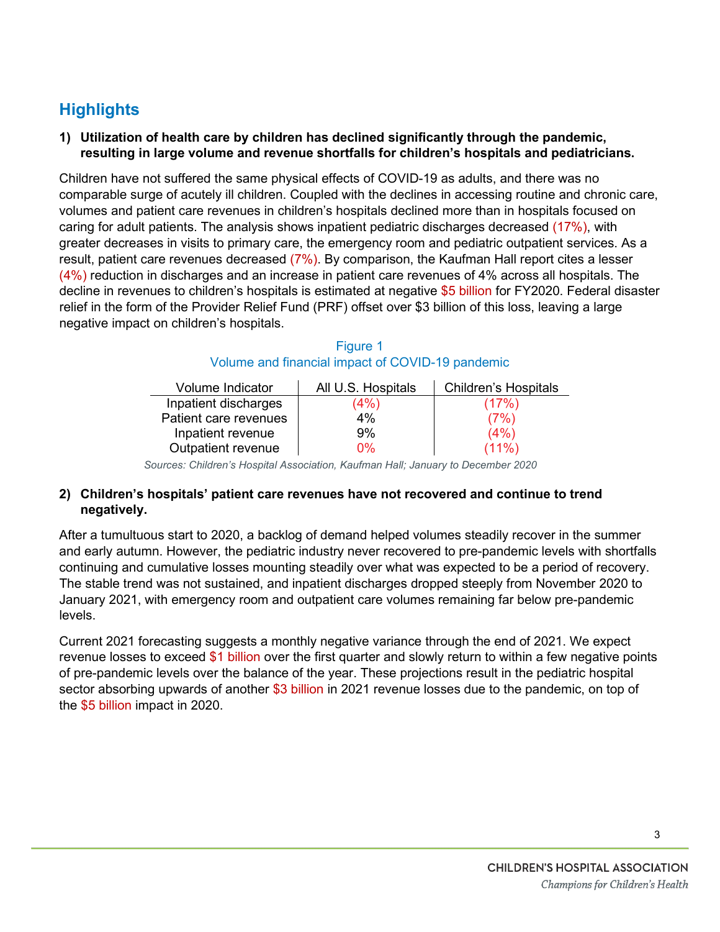# **Highlights**

**1) Utilization of health care by children has declined significantly through the pandemic, resulting in large volume and revenue shortfalls for children's hospitals and pediatricians.** 

Children have not suffered the same physical effects of COVID-19 as adults, and there was no comparable surge of acutely ill children. Coupled with the declines in accessing routine and chronic care, volumes and patient care revenues in children's hospitals declined more than in hospitals focused on caring for adult patients. The analysis shows inpatient pediatric discharges decreased (17%), with greater decreases in visits to primary care, the emergency room and pediatric outpatient services. As a result, patient care revenues decreased (7%). By comparison, the Kaufman Hall report cites a lesser (4%) reduction in discharges and an increase in patient care revenues of 4% across all hospitals. The decline in revenues to children's hospitals is estimated at negative \$5 billion for FY2020. Federal disaster relief in the form of the Provider Relief Fund (PRF) offset over \$3 billion of this loss, leaving a large negative impact on children's hospitals.

| Volume Indicator      | All U.S. Hospitals | <b>Children's Hospitals</b> |
|-----------------------|--------------------|-----------------------------|
| Inpatient discharges  | (4%)               | (17%)                       |
| Patient care revenues | 4%                 | (7%)                        |
| Inpatient revenue     | 9%                 | (4% )                       |
| Outpatient revenue    | በ%                 | $(11\%)$                    |

#### Figure 1 Volume and financial impact of COVID-19 pandemic

*Sources: Children's Hospital Association, Kaufman Hall; January to December 2020*

#### **2) Children's hospitals' patient care revenues have not recovered and continue to trend negatively.**

After a tumultuous start to 2020, a backlog of demand helped volumes steadily recover in the summer and early autumn. However, the pediatric industry never recovered to pre-pandemic levels with shortfalls continuing and cumulative losses mounting steadily over what was expected to be a period of recovery. The stable trend was not sustained, and inpatient discharges dropped steeply from November 2020 to January 2021, with emergency room and outpatient care volumes remaining far below pre-pandemic levels.

Current 2021 forecasting suggests a monthly negative variance through the end of 2021. We expect revenue losses to exceed \$1 billion over the first quarter and slowly return to within a few negative points of pre-pandemic levels over the balance of the year. These projections result in the pediatric hospital sector absorbing upwards of another \$3 billion in 2021 revenue losses due to the pandemic, on top of the \$5 billion impact in 2020.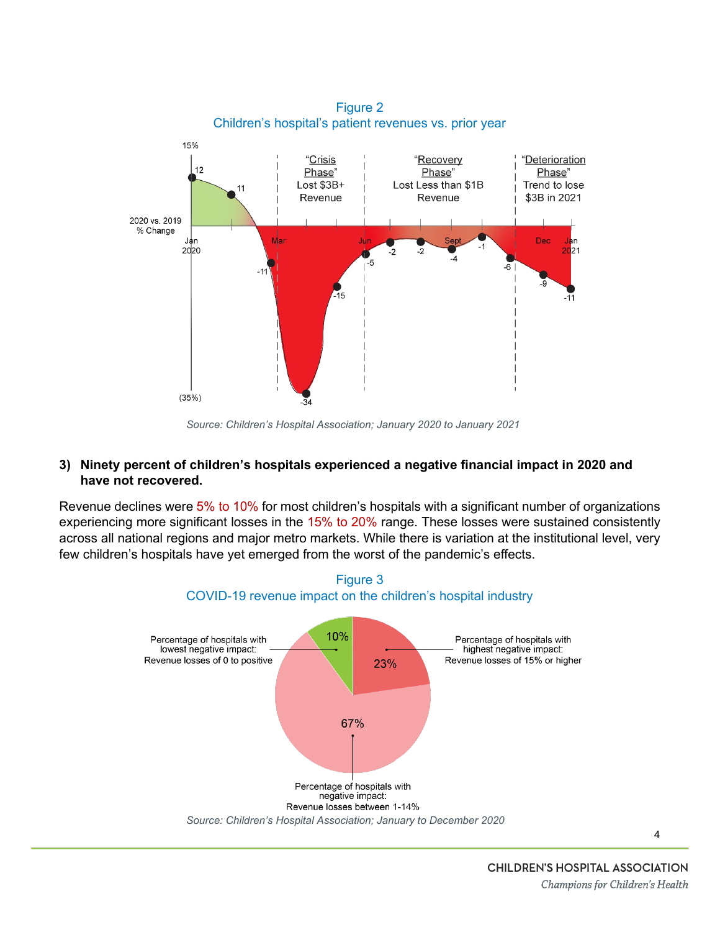

*Source: Children's Hospital Association; January 2020 to January 2021*

#### **3) Ninety percent of children's hospitals experienced a negative financial impact in 2020 and have not recovered.**

Revenue declines were 5% to 10% for most children's hospitals with a significant number of organizations experiencing more significant losses in the 15% to 20% range. These losses were sustained consistently across all national regions and major metro markets. While there is variation at the institutional level, very few children's hospitals have yet emerged from the worst of the pandemic's effects.



4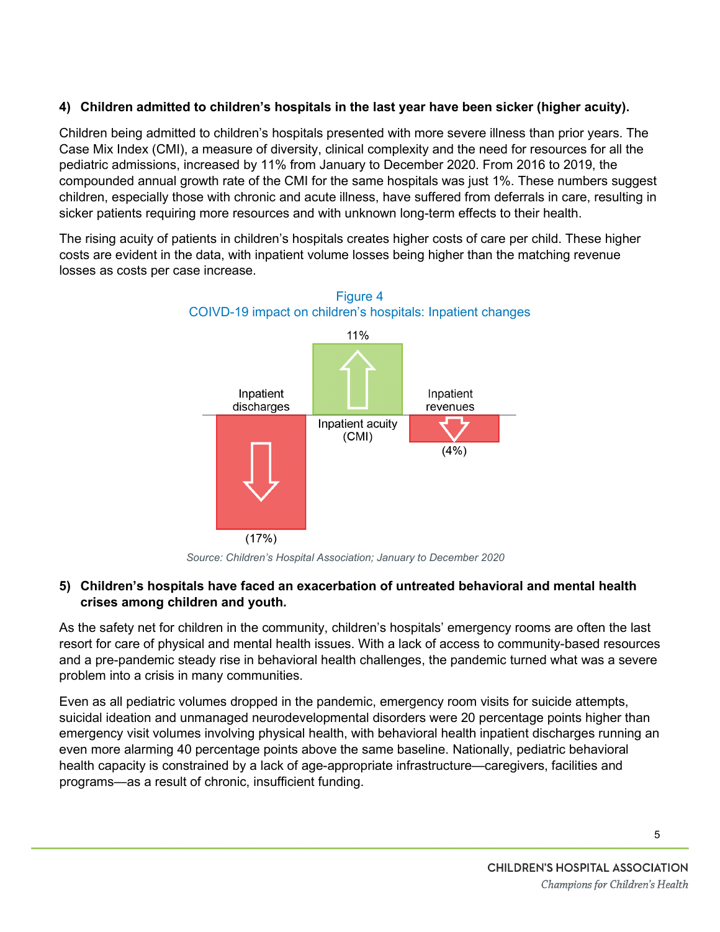### **4) Children admitted to children's hospitals in the last year have been sicker (higher acuity).**

Children being admitted to children's hospitals presented with more severe illness than prior years. The Case Mix Index (CMI), a measure of diversity, clinical complexity and the need for resources for all the pediatric admissions, increased by 11% from January to December 2020. From 2016 to 2019, the compounded annual growth rate of the CMI for the same hospitals was just 1%. These numbers suggest children, especially those with chronic and acute illness, have suffered from deferrals in care, resulting in sicker patients requiring more resources and with unknown long-term effects to their health.

The rising acuity of patients in children's hospitals creates higher costs of care per child. These higher costs are evident in the data, with inpatient volume losses being higher than the matching revenue losses as costs per case increase.



*Source: Children's Hospital Association; January to December 2020*

#### **5) Children's hospitals have faced an exacerbation of untreated behavioral and mental health crises among children and youth.**

As the safety net for children in the community, children's hospitals' emergency rooms are often the last resort for care of physical and mental health issues. With a lack of access to community-based resources and a pre-pandemic steady rise in behavioral health challenges, the pandemic turned what was a severe problem into a crisis in many communities.

Even as all pediatric volumes dropped in the pandemic, emergency room visits for suicide attempts, suicidal ideation and unmanaged neurodevelopmental disorders were 20 percentage points higher than emergency visit volumes involving physical health, with behavioral health inpatient discharges running an even more alarming 40 percentage points above the same baseline. Nationally, pediatric behavioral health capacity is constrained by a lack of age-appropriate infrastructure—caregivers, facilities and programs—as a result of chronic, insufficient funding.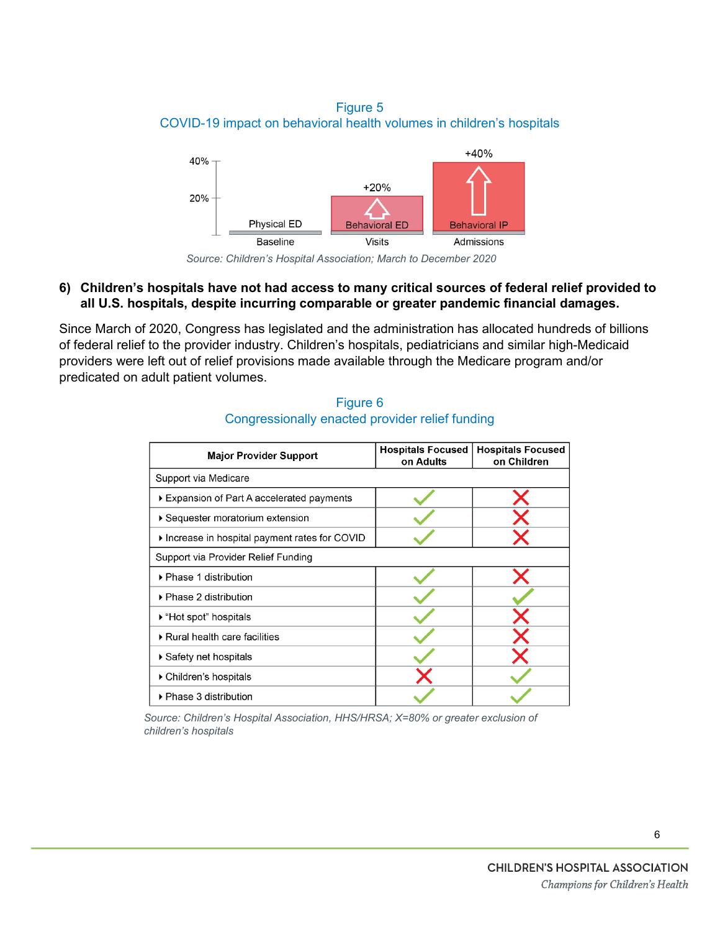Figure 5 COVID-19 impact on behavioral health volumes in children's hospitals



*Source: Children's Hospital Association; March to December 2020*

#### **6) Children's hospitals have not had access to many critical sources of federal relief provided to all U.S. hospitals, despite incurring comparable or greater pandemic financial damages.**

Since March of 2020, Congress has legislated and the administration has allocated hundreds of billions of federal relief to the provider industry. Children's hospitals, pediatricians and similar high-Medicaid providers were left out of relief provisions made available through the Medicare program and/or predicated on adult patient volumes.

| <b>Major Provider Support</b>                | <b>Hospitals Focused</b><br>on Adults | <b>Hospitals Focused</b><br>on Children |  |
|----------------------------------------------|---------------------------------------|-----------------------------------------|--|
| Support via Medicare                         |                                       |                                         |  |
| Expansion of Part A accelerated payments     |                                       |                                         |  |
| ▶ Sequester moratorium extension             |                                       |                                         |  |
| Increase in hospital payment rates for COVID |                                       |                                         |  |
| Support via Provider Relief Funding          |                                       |                                         |  |
| ▶ Phase 1 distribution                       |                                       |                                         |  |
| $\blacktriangleright$ Phase 2 distribution   |                                       |                                         |  |
| ▶ "Hot spot" hospitals                       |                                       |                                         |  |
| Rural health care facilities                 |                                       |                                         |  |
| $\blacktriangleright$ Safety net hospitals   |                                       |                                         |  |
| ▶ Children's hospitals                       |                                       |                                         |  |
| ▶ Phase 3 distribution                       |                                       |                                         |  |

Figure 6 Congressionally enacted provider relief funding

*Source: Children's Hospital Association, HHS/HRSA; X=80% or greater exclusion of children's hospitals*